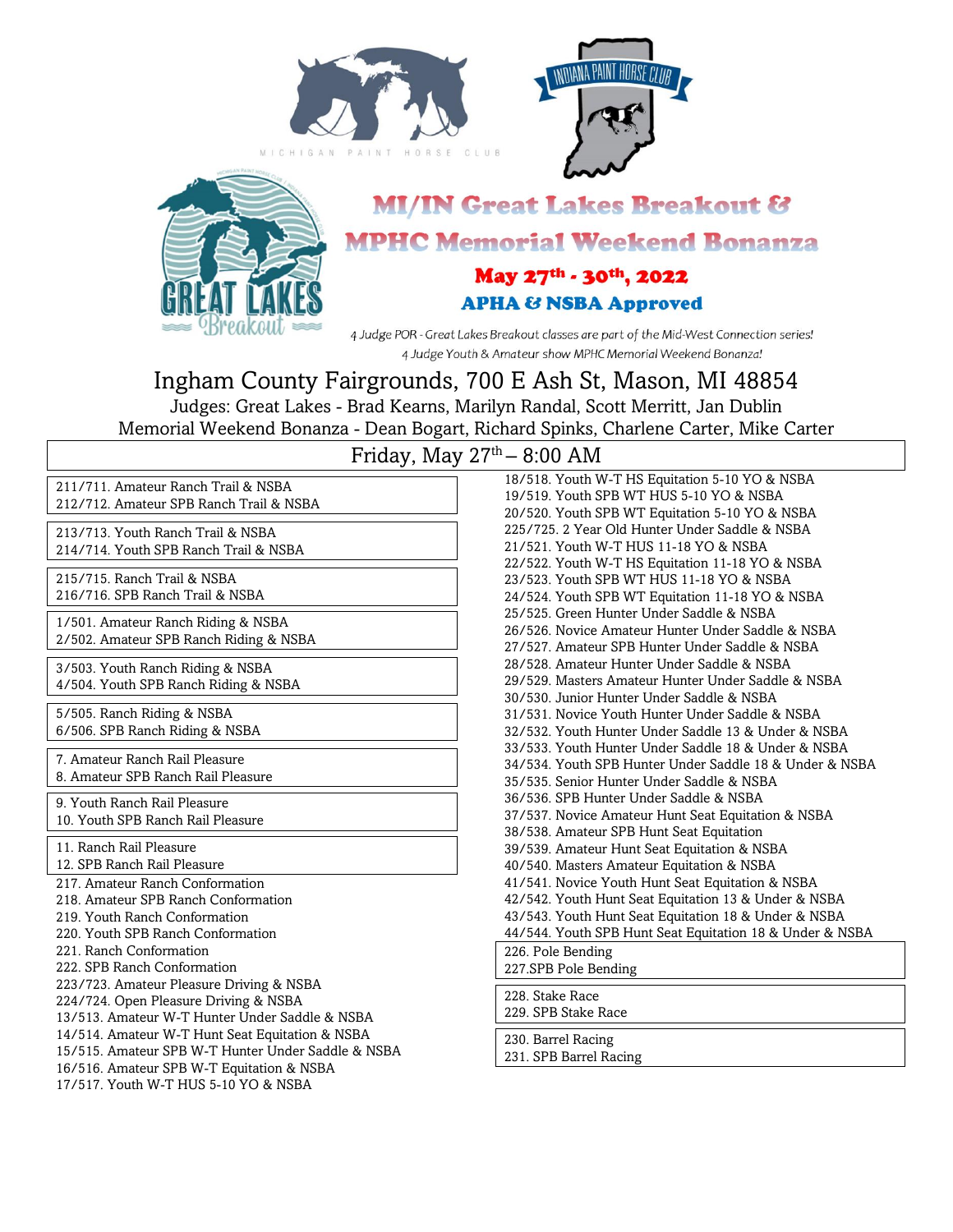





# **MI/IN Great Lakes Breakout & MPHC Memorial Weekend Bonanza**

May 27th - 30th, 2022 **APHA & NSBA Approved** 

4 Judge POR - Great Lakes Breakout classes are part of the Mid-West Connection series! 4 Judge Youth & Amateur show MPHC Memorial Weekend Bonanza!

# Ingham County Fairgrounds, 700 E Ash St, Mason, MI 48854

Judges: Great Lakes - Brad Kearns, Marilyn Randal, Scott Merritt, Jan Dublin Memorial Weekend Bonanza - Dean Bogart, Richard Spinks, Charlene Carter, Mike Carter

| 211/711. Amateur Ranch Trail & NSBA<br>212/712. Amateur SPB Ranch Trail & NSBA<br>213/713. Youth Ranch Trail & NSBA<br>214/714. Youth SPB Ranch Trail & NSBA<br>215/715. Ranch Trail & NSBA<br>216/716. SPB Ranch Trail & NSBA<br>1/501. Amateur Ranch Riding & NSBA<br>2/502. Amateur SPB Ranch Riding & NSBA<br>3/503. Youth Ranch Riding & NSBA<br>4/504. Youth SPB Ranch Riding & NSBA<br>5/505. Ranch Riding & NSBA<br>6/506. SPB Ranch Riding & NSBA<br>7. Amateur Ranch Rail Pleasure<br>8. Amateur SPB Ranch Rail Pleasure<br>9. Youth Ranch Rail Pleasure<br>10. Youth SPB Ranch Rail Pleasure<br>11. Ranch Rail Pleasure<br>12. SPB Ranch Rail Pleasure<br>217. Amateur Ranch Conformation<br>218. Amateur SPB Ranch Conformation<br>219. Youth Ranch Conformation<br>220. Youth SPB Ranch Conformation |
|-------------------------------------------------------------------------------------------------------------------------------------------------------------------------------------------------------------------------------------------------------------------------------------------------------------------------------------------------------------------------------------------------------------------------------------------------------------------------------------------------------------------------------------------------------------------------------------------------------------------------------------------------------------------------------------------------------------------------------------------------------------------------------------------------------------------|
|                                                                                                                                                                                                                                                                                                                                                                                                                                                                                                                                                                                                                                                                                                                                                                                                                   |
|                                                                                                                                                                                                                                                                                                                                                                                                                                                                                                                                                                                                                                                                                                                                                                                                                   |
|                                                                                                                                                                                                                                                                                                                                                                                                                                                                                                                                                                                                                                                                                                                                                                                                                   |
|                                                                                                                                                                                                                                                                                                                                                                                                                                                                                                                                                                                                                                                                                                                                                                                                                   |
|                                                                                                                                                                                                                                                                                                                                                                                                                                                                                                                                                                                                                                                                                                                                                                                                                   |
|                                                                                                                                                                                                                                                                                                                                                                                                                                                                                                                                                                                                                                                                                                                                                                                                                   |
|                                                                                                                                                                                                                                                                                                                                                                                                                                                                                                                                                                                                                                                                                                                                                                                                                   |
|                                                                                                                                                                                                                                                                                                                                                                                                                                                                                                                                                                                                                                                                                                                                                                                                                   |
| 221. Ranch Conformation<br>222. SPB Ranch Conformation<br>223/723. Amateur Pleasure Driving & NSBA<br>224/724. Open Pleasure Driving & NSBA<br>13/513. Amateur W-T Hunter Under Saddle & NSBA<br>14/514. Amateur W-T Hunt Seat Equitation & NSBA<br>15/515. Amateur SPB W-T Hunter Under Saddle & NSBA<br>16/516. Amateur SPB W-T Equitation & NSBA<br>17/517. Youth W-T HUS 5-10 YO & NSBA                                                                                                                                                                                                                                                                                                                                                                                                                       |

## Friday, May  $27<sup>th</sup> - 8:00$  AM

| 18/518. Youth W-T HS Equitation 5-10 YO & NSBA           |
|----------------------------------------------------------|
| 19/519. Youth SPB WT HUS 5-10 YO & NSBA                  |
| 20/520. Youth SPB WT Equitation 5-10 YO & NSBA           |
| 225/725, 2 Year Old Hunter Under Saddle & NSBA           |
| 21/521. Youth W-T HUS 11-18 YO & NSBA                    |
| 22/522. Youth W-T HS Equitation 11-18 YO & NSBA          |
| 23/523. Youth SPB WT HUS 11-18 YO & NSBA                 |
| 24/524. Youth SPB WT Equitation 11-18 YO & NSBA          |
| 25/525. Green Hunter Under Saddle & NSBA                 |
| 26/526. Novice Amateur Hunter Under Saddle & NSBA        |
| 27/527. Amateur SPB Hunter Under Saddle & NSBA           |
| 28/528. Amateur Hunter Under Saddle & NSBA               |
| 29/529. Masters Amateur Hunter Under Saddle & NSBA       |
| 30/530 Junior Hunter Under Saddle & NSBA                 |
| 31/531. Novice Youth Hunter Under Saddle & NSBA          |
| 32/532. Youth Hunter Under Saddle 13 & Under & NSBA      |
| 33/533. Youth Hunter Under Saddle 18 & Under & NSBA      |
| 34/534. Youth SPB Hunter Under Saddle 18 & Under & NSBA  |
| 35/535. Senior Hunter Under Saddle & NSBA                |
| 36/536, SPB Hunter Under Saddle & NSBA                   |
| 37/537. Novice Amateur Hunt Seat Equitation & NSBA       |
| 38/538. Amateur SPB Hunt Seat Equitation                 |
| 39/539. Amateur Hunt Seat Equitation & NSBA              |
| 40/540. Masters Amateur Equitation & NSBA                |
| 41/541. Novice Youth Hunt Seat Equitation & NSBA         |
| 42/542. Youth Hunt Seat Equitation 13 & Under & NSBA     |
| 43/543. Youth Hunt Seat Equitation 18 & Under & NSBA     |
| 44/544. Youth SPB Hunt Seat Equitation 18 & Under & NSBA |
| 226. Pole Bending                                        |
| 227.SPB Pole Bending                                     |
| 228. Stake Race                                          |
| 229. SPB Stake Race                                      |
| 230. Barrel Racing                                       |

231. SPB Barrel Racing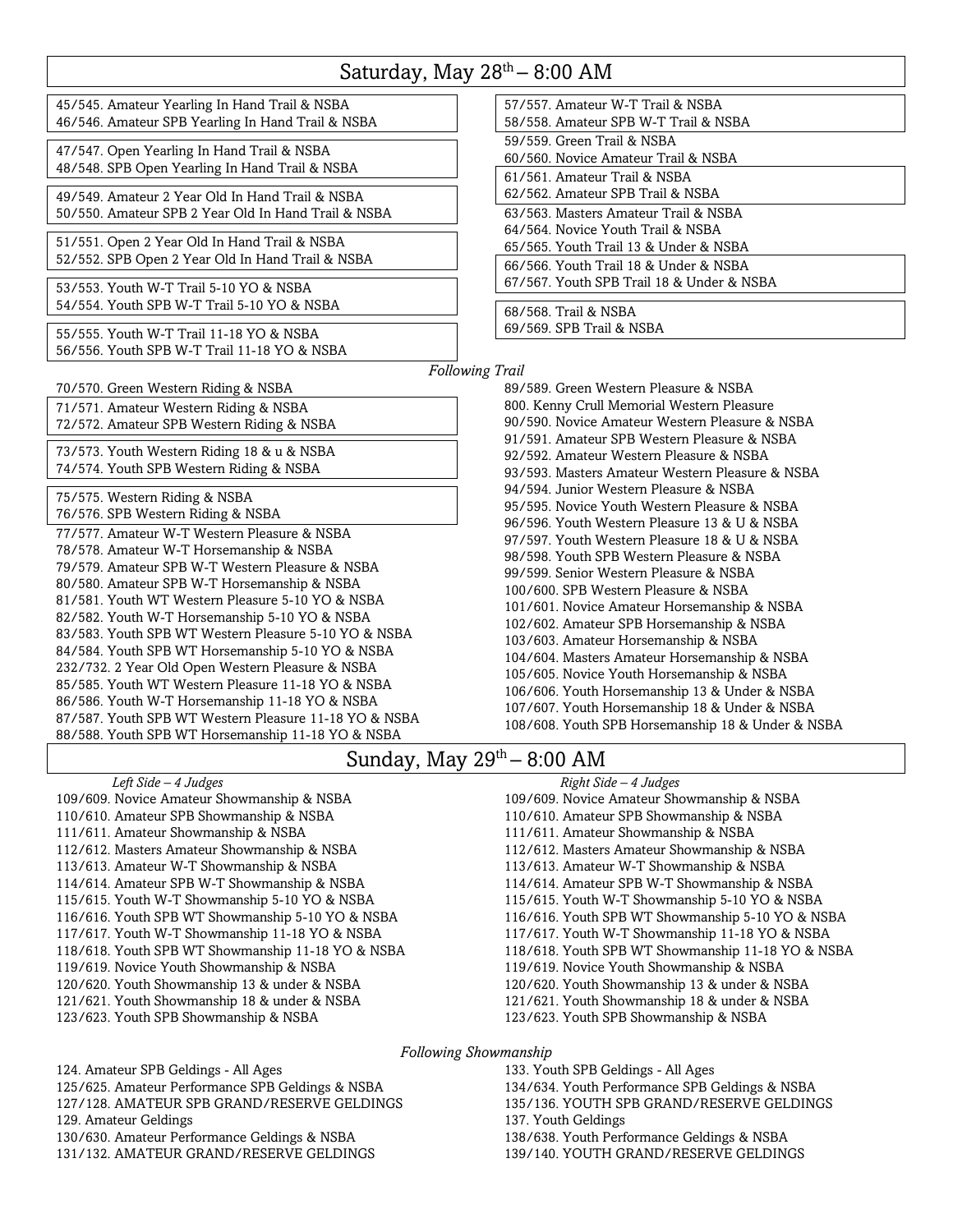### Saturday, May 28<sup>th</sup> – 8:00 AM

45/545. Amateur Yearling In Hand Trail & NSBA 46/546. Amateur SPB Yearling In Hand Trail & NSBA

47/547. Open Yearling In Hand Trail & NSBA 48/548. SPB Open Yearling In Hand Trail & NSBA

49/549. Amateur 2 Year Old In Hand Trail & NSBA 50/550. Amateur SPB 2 Year Old In Hand Trail & NSBA

51/551. Open 2 Year Old In Hand Trail & NSBA 52/552. SPB Open 2 Year Old In Hand Trail & NSBA

53/553. Youth W-T Trail 5-10 YO & NSBA 54/554. Youth SPB W-T Trail 5-10 YO & NSBA

55/555. Youth W-T Trail 11-18 YO & NSBA 56/556. Youth SPB W-T Trail 11-18 YO & NSBA

70/570. Green Western Riding & NSBA

71/571. Amateur Western Riding & NSBA 72/572. Amateur SPB Western Riding & NSBA

73/573. Youth Western Riding 18 & u & NSBA 74/574. Youth SPB Western Riding & NSBA

75/575. Western Riding & NSBA

76/576. SPB Western Riding & NSBA 77/577. Amateur W-T Western Pleasure & NSBA 78/578. Amateur W-T Horsemanship & NSBA 79/579. Amateur SPB W-T Western Pleasure & NSBA 80/580. Amateur SPB W-T Horsemanship & NSBA 81/581. Youth WT Western Pleasure 5-10 YO & NSBA 82/582. Youth W-T Horsemanship 5-10 YO & NSBA 83/583. Youth SPB WT Western Pleasure 5-10 YO & NSBA 84/584. Youth SPB WT Horsemanship 5-10 YO & NSBA 232/732. 2 Year Old Open Western Pleasure & NSBA 85/585. Youth WT Western Pleasure 11-18 YO & NSBA 86/586. Youth W-T Horsemanship 11-18 YO & NSBA 87/587. Youth SPB WT Western Pleasure 11-18 YO & NSBA 88/588. Youth SPB WT Horsemanship 11-18 YO & NSBA

| 57/557 Amateur W-T Trail & NSBA<br>58/558. Amateur SPB W-T Trail & NSBA                                           |
|-------------------------------------------------------------------------------------------------------------------|
| 59/559. Green Trail & NSBA<br>60/560. Novice Amateur Trail & NSBA                                                 |
| 61/561, Amateur Trail & NSBA<br>62/562. Amateur SPB Trail & NSBA                                                  |
| 63/563. Masters Amateur Trail & NSBA<br>64/564 Novice Youth Trail & NSBA<br>65/565. Youth Trail 13 & Under & NSBA |
| 66/566 Youth Trail 18 & Under & NSBA<br>67/567. Youth SPB Trail 18 & Under & NSBA                                 |
| 68/568. Trail & NSBA<br>69/569. SPB Trail & NSBA                                                                  |

*Following Trail*

89/589. Green Western Pleasure & NSBA 800. Kenny Crull Memorial Western Pleasure 90/590. Novice Amateur Western Pleasure & NSBA 91/591. Amateur SPB Western Pleasure & NSBA 92/592. Amateur Western Pleasure & NSBA 93/593. Masters Amateur Western Pleasure & NSBA 94/594. Junior Western Pleasure & NSBA 95/595. Novice Youth Western Pleasure & NSBA 96/596. Youth Western Pleasure 13 & U & NSBA 97/597. Youth Western Pleasure 18 & U & NSBA 98/598. Youth SPB Western Pleasure & NSBA 99/599. Senior Western Pleasure & NSBA 100/600. SPB Western Pleasure & NSBA 101/601. Novice Amateur Horsemanship & NSBA 102/602. Amateur SPB Horsemanship & NSBA 103/603. Amateur Horsemanship & NSBA 104/604. Masters Amateur Horsemanship & NSBA 105/605. Novice Youth Horsemanship & NSBA 106/606. Youth Horsemanship 13 & Under & NSBA 107/607. Youth Horsemanship 18 & Under & NSBA 108/608. Youth SPB Horsemanship 18 & Under & NSBA

## Sunday, May  $29^{\text{th}} - 8:00$  AM

*Left Side – 4 Judges* 109/609. Novice Amateur Showmanship & NSBA 110/610. Amateur SPB Showmanship & NSBA 111/611. Amateur Showmanship & NSBA 112/612. Masters Amateur Showmanship & NSBA 113/613. Amateur W-T Showmanship & NSBA 114/614. Amateur SPB W-T Showmanship & NSBA 115/615. Youth W-T Showmanship 5-10 YO & NSBA 116/616. Youth SPB WT Showmanship 5-10 YO & NSBA 117/617. Youth W-T Showmanship 11-18 YO & NSBA 118/618. Youth SPB WT Showmanship 11-18 YO & NSBA 119/619. Novice Youth Showmanship & NSBA 120/620. Youth Showmanship 13 & under & NSBA 121/621. Youth Showmanship 18 & under & NSBA 123/623. Youth SPB Showmanship & NSBA

*Right Side – 4 Judges* 109/609. Novice Amateur Showmanship & NSBA 110/610. Amateur SPB Showmanship & NSBA 111/611. Amateur Showmanship & NSBA 112/612. Masters Amateur Showmanship & NSBA 113/613. Amateur W-T Showmanship & NSBA 114/614. Amateur SPB W-T Showmanship & NSBA 115/615. Youth W-T Showmanship 5-10 YO & NSBA 116/616. Youth SPB WT Showmanship 5-10 YO & NSBA 117/617. Youth W-T Showmanship 11-18 YO & NSBA 118/618. Youth SPB WT Showmanship 11-18 YO & NSBA 119/619. Novice Youth Showmanship & NSBA 120/620. Youth Showmanship 13 & under & NSBA 121/621. Youth Showmanship 18 & under & NSBA 123/623. Youth SPB Showmanship & NSBA

*Following Showmanship*

124. Amateur SPB Geldings - All Ages 125/625. Amateur Performance SPB Geldings & NSBA 127/128. AMATEUR SPB GRAND/RESERVE GELDINGS 129. Amateur Geldings 130/630. Amateur Performance Geldings & NSBA 131/132. AMATEUR GRAND/RESERVE GELDINGS

133. Youth SPB Geldings - All Ages 134/634. Youth Performance SPB Geldings & NSBA 135/136. YOUTH SPB GRAND/RESERVE GELDINGS 137. Youth Geldings 138/638. Youth Performance Geldings & NSBA 139/140. YOUTH GRAND/RESERVE GELDINGS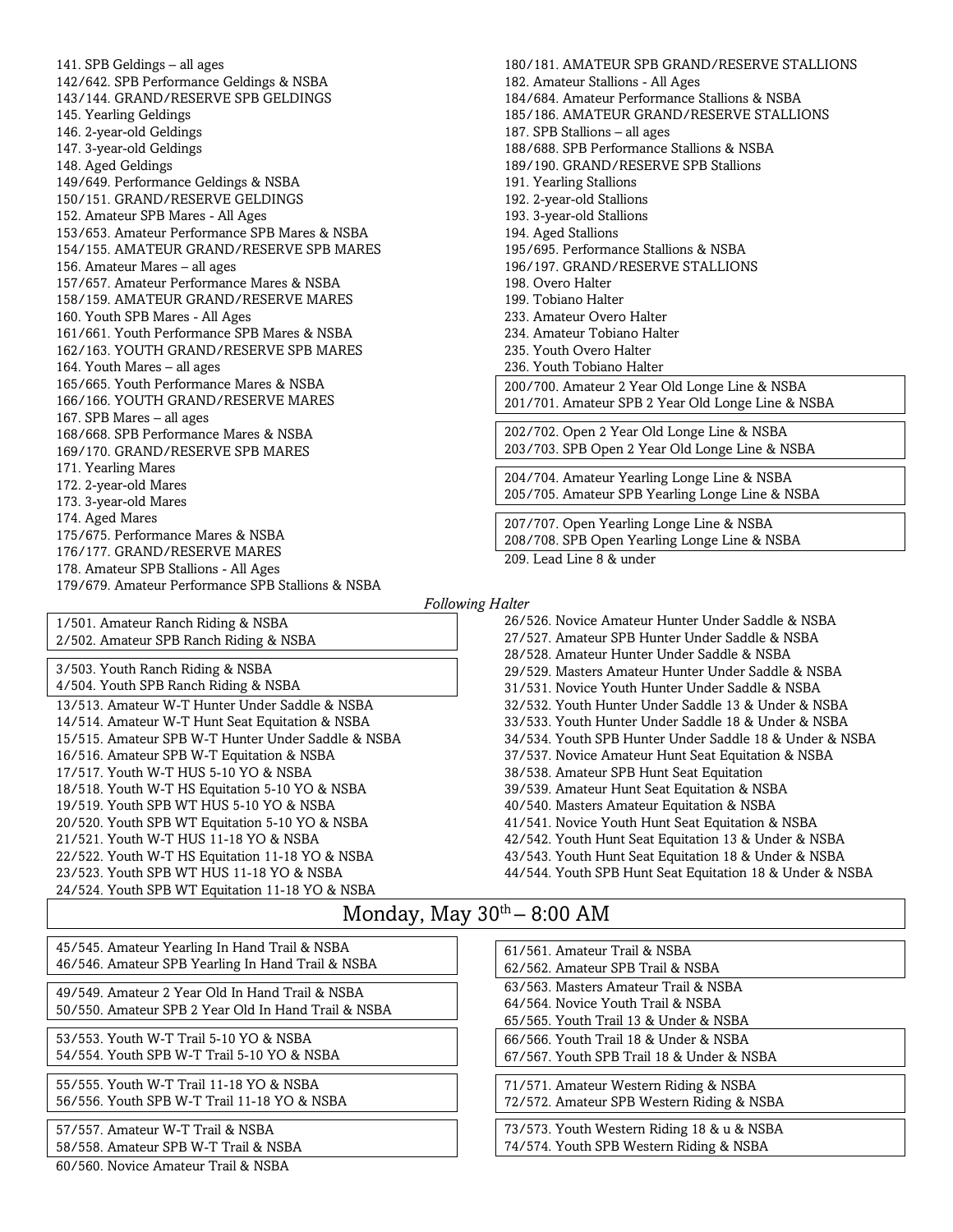141. SPB Geldings – all ages 142/642. SPB Performance Geldings & NSBA 143/144. GRAND/RESERVE SPB GELDINGS 145. Yearling Geldings 146. 2-year-old Geldings 147. 3-year-old Geldings 148. Aged Geldings 149/649. Performance Geldings & NSBA 150/151. GRAND/RESERVE GELDINGS 152. Amateur SPB Mares - All Ages 153/653. Amateur Performance SPB Mares & NSBA 154/155. AMATEUR GRAND/RESERVE SPB MARES 156. Amateur Mares – all ages 157/657. Amateur Performance Mares & NSBA 158/159. AMATEUR GRAND/RESERVE MARES 160. Youth SPB Mares - All Ages 161/661. Youth Performance SPB Mares & NSBA 162/163. YOUTH GRAND/RESERVE SPB MARES 164. Youth Mares – all ages 165/665. Youth Performance Mares & NSBA 166/166. YOUTH GRAND/RESERVE MARES 167. SPB Mares – all ages 168/668. SPB Performance Mares & NSBA 169/170. GRAND/RESERVE SPB MARES 171. Yearling Mares 172. 2-year-old Mares 173. 3-year-old Mares 174. Aged Mares 175/675. Performance Mares & NSBA 176/177. GRAND/RESERVE MARES 178. Amateur SPB Stallions - All Ages 179/679. Amateur Performance SPB Stallions & NSBA

180/181. AMATEUR SPB GRAND/RESERVE STALLIONS 182. Amateur Stallions - All Ages 184/684. Amateur Performance Stallions & NSBA 185/186. AMATEUR GRAND/RESERVE STALLIONS 187. SPB Stallions – all ages 188/688. SPB Performance Stallions & NSBA 189/190. GRAND/RESERVE SPB Stallions 191. Yearling Stallions 192. 2-year-old Stallions 193. 3-year-old Stallions 194. Aged Stallions 195/695. Performance Stallions & NSBA 196/197. GRAND/RESERVE STALLIONS 198. Overo Halter 199. Tobiano Halter 233. Amateur Overo Halter 234. Amateur Tobiano Halter 235. Youth Overo Halter 236. Youth Tobiano Halter 200/700. Amateur 2 Year Old Longe Line & NSBA 201/701. Amateur SPB 2 Year Old Longe Line & NSBA 202/702. Open 2 Year Old Longe Line & NSBA 203/703. SPB Open 2 Year Old Longe Line & NSBA 204/704. Amateur Yearling Longe Line & NSBA 205/705. Amateur SPB Yearling Longe Line & NSBA 207/707. Open Yearling Longe Line & NSBA 208/708. SPB Open Yearling Longe Line & NSBA 209. Lead Line 8 & under

#### *Following Halter*

1/501. Amateur Ranch Riding & NSBA 2/502. Amateur SPB Ranch Riding & NSBA 3/503. Youth Ranch Riding & NSBA 4/504. Youth SPB Ranch Riding & NSBA 13/513. Amateur W-T Hunter Under Saddle & NSBA 14/514. Amateur W-T Hunt Seat Equitation & NSBA 15/515. Amateur SPB W-T Hunter Under Saddle & NSBA 16/516. Amateur SPB W-T Equitation & NSBA 17/517. Youth W-T HUS 5-10 YO & NSBA 18/518. Youth W-T HS Equitation 5-10 YO & NSBA 19/519. Youth SPB WT HUS 5-10 YO & NSBA 20/520. Youth SPB WT Equitation 5-10 YO & NSBA 21/521. Youth W-T HUS 11-18 YO & NSBA 22/522. Youth W-T HS Equitation 11-18 YO & NSBA 23/523. Youth SPB WT HUS 11-18 YO & NSBA 24/524. Youth SPB WT Equitation 11-18 YO & NSBA

26/526. Novice Amateur Hunter Under Saddle & NSBA 27/527. Amateur SPB Hunter Under Saddle & NSBA 28/528. Amateur Hunter Under Saddle & NSBA 29/529. Masters Amateur Hunter Under Saddle & NSBA 31/531. Novice Youth Hunter Under Saddle & NSBA 32/532. Youth Hunter Under Saddle 13 & Under & NSBA 33/533. Youth Hunter Under Saddle 18 & Under & NSBA 34/534. Youth SPB Hunter Under Saddle 18 & Under & NSBA 37/537. Novice Amateur Hunt Seat Equitation & NSBA 38/538. Amateur SPB Hunt Seat Equitation 39/539. Amateur Hunt Seat Equitation & NSBA 40/540. Masters Amateur Equitation & NSBA 41/541. Novice Youth Hunt Seat Equitation & NSBA 42/542. Youth Hunt Seat Equitation 13 & Under & NSBA 43/543. Youth Hunt Seat Equitation 18 & Under & NSBA 44/544. Youth SPB Hunt Seat Equitation 18 & Under & NSBA

## Monday, May  $30^{th} - 8:00$  AM

45/545. Amateur Yearling In Hand Trail & NSBA 46/546. Amateur SPB Yearling In Hand Trail & NSBA

49/549. Amateur 2 Year Old In Hand Trail & NSBA 50/550. Amateur SPB 2 Year Old In Hand Trail & NSBA

53/553. Youth W-T Trail 5-10 YO & NSBA 54/554. Youth SPB W-T Trail 5-10 YO & NSBA

55/555. Youth W-T Trail 11-18 YO & NSBA 56/556. Youth SPB W-T Trail 11-18 YO & NSBA

57/557. Amateur W-T Trail & NSBA 58/558. Amateur SPB W-T Trail & NSBA

60/560. Novice Amateur Trail & NSBA

61/561. Amateur Trail & NSBA 62/562. Amateur SPB Trail & NSBA 63/563. Masters Amateur Trail & NSBA 64/564. Novice Youth Trail & NSBA 65/565. Youth Trail 13 & Under & NSBA 66/566. Youth Trail 18 & Under & NSBA 67/567. Youth SPB Trail 18 & Under & NSBA 71/571. Amateur Western Riding & NSBA 72/572. Amateur SPB Western Riding & NSBA 73/573. Youth Western Riding 18 & u & NSBA 74/574. Youth SPB Western Riding & NSBA